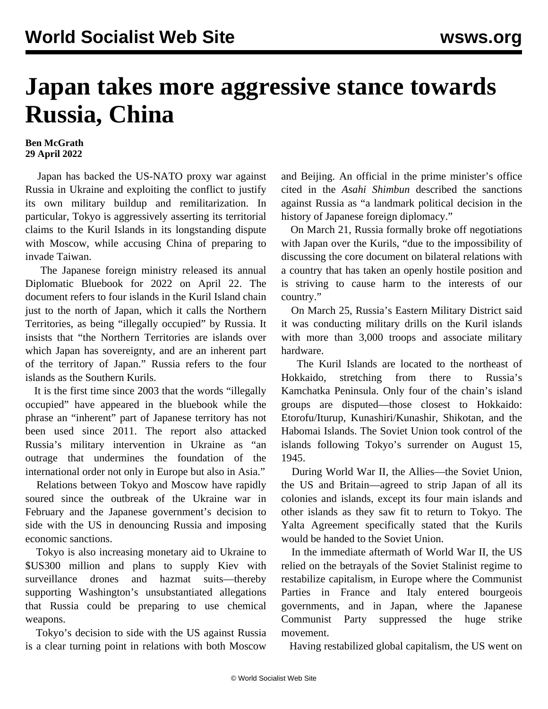## **Japan takes more aggressive stance towards Russia, China**

## **Ben McGrath 29 April 2022**

 Japan has backed the US-NATO proxy war against Russia in Ukraine and exploiting the conflict to justify its own military buildup and remilitarization. In particular, Tokyo is aggressively asserting its territorial claims to the Kuril Islands in its longstanding dispute with Moscow, while accusing China of preparing to invade Taiwan.

 The Japanese foreign ministry released its annual Diplomatic Bluebook for 2022 on April 22. The document refers to four islands in the Kuril Island chain just to the north of Japan, which it calls the Northern Territories, as being "illegally occupied" by Russia. It insists that "the Northern Territories are islands over which Japan has sovereignty, and are an inherent part of the territory of Japan." Russia refers to the four islands as the Southern Kurils.

 It is the first time since 2003 that the words "illegally occupied" have appeared in the bluebook while the phrase an "inherent" part of Japanese territory has not been used since 2011. The report also attacked Russia's military intervention in Ukraine as "an outrage that undermines the foundation of the international order not only in Europe but also in Asia."

 Relations between Tokyo and Moscow have rapidly soured since the outbreak of the Ukraine war in February and the Japanese government's decision to side with the US in denouncing Russia and imposing economic sanctions.

 Tokyo is also increasing monetary aid to Ukraine to \$US300 million and plans to supply Kiev with surveillance drones and hazmat suits—thereby supporting Washington's unsubstantiated allegations that Russia could be preparing to use chemical weapons.

 Tokyo's decision to side with the US against Russia is a clear turning point in relations with both Moscow

and Beijing. An official in the prime minister's office cited in the *Asahi Shimbun* described the sanctions against Russia as "a landmark political decision in the history of Japanese foreign diplomacy."

 On March 21, Russia formally broke off negotiations with Japan over the Kurils, "due to the impossibility of discussing the core document on bilateral relations with a country that has taken an openly hostile position and is striving to cause harm to the interests of our country."

 On March 25, Russia's Eastern Military District said it was conducting military drills on the Kuril islands with more than 3,000 troops and associate military hardware.

 The Kuril Islands are located to the northeast of Hokkaido, stretching from there to Russia's Kamchatka Peninsula. Only four of the chain's island groups are disputed—those closest to Hokkaido: Etorofu/Iturup, Kunashiri/Kunashir, Shikotan, and the Habomai Islands. The Soviet Union took control of the islands following Tokyo's surrender on August 15, 1945.

 During World War II, the Allies—the Soviet Union, the US and Britain—agreed to strip Japan of all its colonies and islands, except its four main islands and other islands as they saw fit to return to Tokyo. The Yalta Agreement specifically stated that the Kurils would be handed to the Soviet Union.

 In the immediate aftermath of World War II, the US relied on the betrayals of the Soviet Stalinist regime to restabilize capitalism, in Europe where the Communist Parties in France and Italy entered bourgeois governments, and in Japan, where the Japanese Communist Party suppressed the huge strike movement.

Having restabilized global capitalism, the US went on